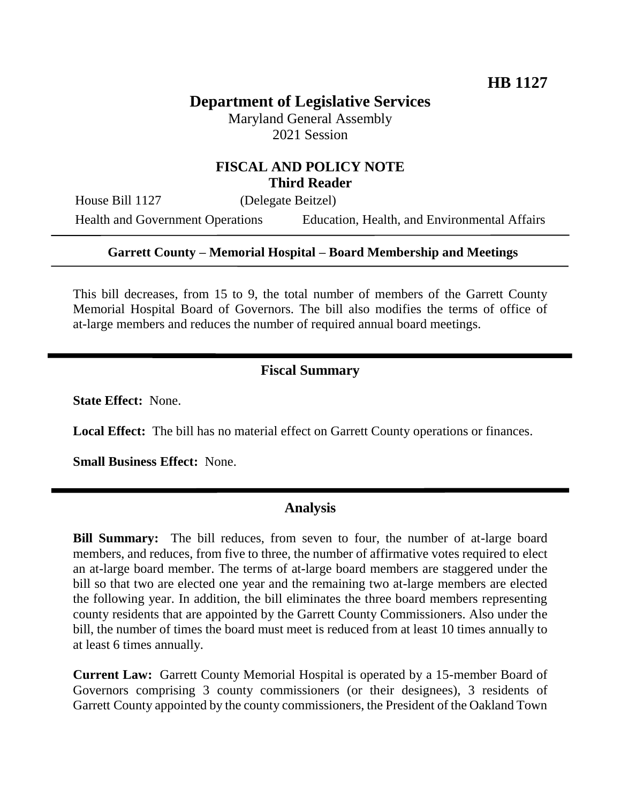# **Department of Legislative Services**

Maryland General Assembly 2021 Session

## **FISCAL AND POLICY NOTE Third Reader**

House Bill 1127 (Delegate Beitzel)

Health and Government Operations Education, Health, and Environmental Affairs

### **Garrett County – Memorial Hospital – Board Membership and Meetings**

This bill decreases, from 15 to 9, the total number of members of the Garrett County Memorial Hospital Board of Governors. The bill also modifies the terms of office of at-large members and reduces the number of required annual board meetings.

# **Fiscal Summary**

**State Effect:** None.

**Local Effect:** The bill has no material effect on Garrett County operations or finances.

**Small Business Effect:** None.

#### **Analysis**

**Bill Summary:** The bill reduces, from seven to four, the number of at-large board members, and reduces, from five to three, the number of affirmative votes required to elect an at-large board member. The terms of at-large board members are staggered under the bill so that two are elected one year and the remaining two at-large members are elected the following year. In addition, the bill eliminates the three board members representing county residents that are appointed by the Garrett County Commissioners. Also under the bill, the number of times the board must meet is reduced from at least 10 times annually to at least 6 times annually.

**Current Law:** Garrett County Memorial Hospital is operated by a 15-member Board of Governors comprising 3 county commissioners (or their designees), 3 residents of Garrett County appointed by the county commissioners, the President of the Oakland Town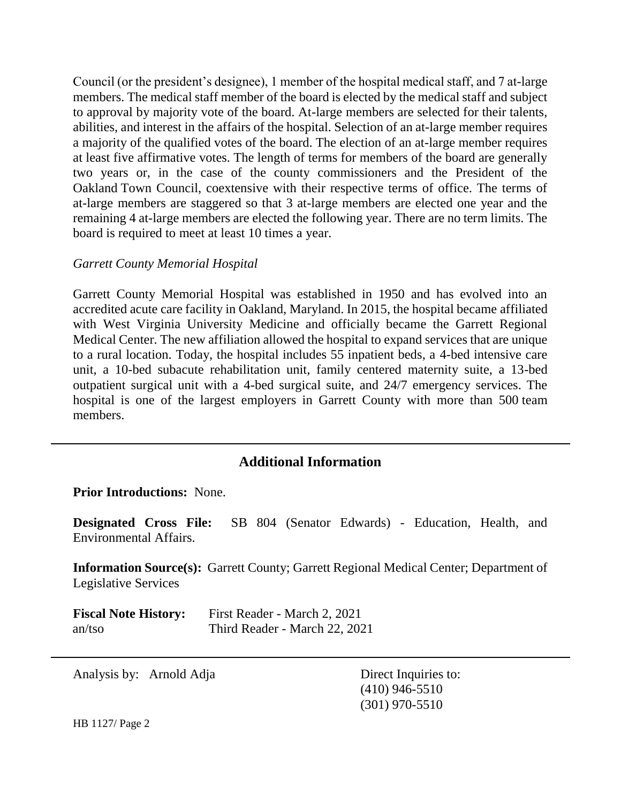Council (or the president's designee), 1 member of the hospital medical staff, and 7 at-large members. The medical staff member of the board is elected by the medical staff and subject to approval by majority vote of the board. At-large members are selected for their talents, abilities, and interest in the affairs of the hospital. Selection of an at-large member requires a majority of the qualified votes of the board. The election of an at-large member requires at least five affirmative votes. The length of terms for members of the board are generally two years or, in the case of the county commissioners and the President of the Oakland Town Council, coextensive with their respective terms of office. The terms of at-large members are staggered so that 3 at-large members are elected one year and the remaining 4 at-large members are elected the following year. There are no term limits. The board is required to meet at least 10 times a year.

### *Garrett County Memorial Hospital*

Garrett County Memorial Hospital was established in 1950 and has evolved into an accredited acute care facility in Oakland, Maryland. In 2015, the hospital became affiliated with West Virginia University Medicine and officially became the Garrett Regional Medical Center. The new affiliation allowed the hospital to expand services that are unique to a rural location. Today, the hospital includes 55 inpatient beds, a 4-bed intensive care unit, a 10-bed subacute rehabilitation unit, family centered maternity suite, a 13-bed outpatient surgical unit with a 4-bed surgical suite, and 24/7 emergency services. The hospital is one of the largest employers in Garrett County with more than 500 team members.

## **Additional Information**

**Prior Introductions:** None.

**Designated Cross File:** SB 804 (Senator Edwards) - Education, Health, and Environmental Affairs.

**Information Source(s):** Garrett County; Garrett Regional Medical Center; Department of Legislative Services

| <b>Fiscal Note History:</b> | First Reader - March 2, 2021  |
|-----------------------------|-------------------------------|
| $an$ /tso                   | Third Reader - March 22, 2021 |

Analysis by: Arnold Adja Direct Inquiries to:

(410) 946-5510 (301) 970-5510

HB 1127/ Page 2